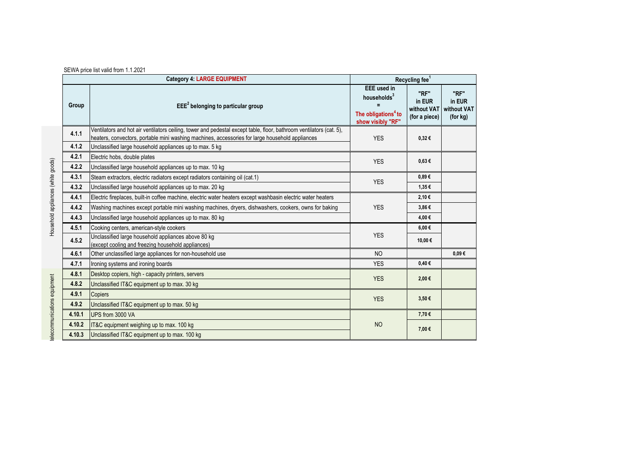| SEWA price list valid from 1.1.2021 |  |                        |  |
|-------------------------------------|--|------------------------|--|
|                                     |  | <b>Category 4: LAP</b> |  |
|                                     |  |                        |  |

|                                    |        | <b>Category 4: LARGE EQUIPMENT</b>                                                                                                                                                                                     |                                                                                                       | Recycling fee <sup>1</sup>                     |                                           |  |
|------------------------------------|--------|------------------------------------------------------------------------------------------------------------------------------------------------------------------------------------------------------------------------|-------------------------------------------------------------------------------------------------------|------------------------------------------------|-------------------------------------------|--|
|                                    | Group  | $EEE2$ belonging to particular group                                                                                                                                                                                   | <b>EEE</b> used in<br>households <sup>3</sup><br>The obligations <sup>4</sup> to<br>show visibly "RF" | "RF"<br>in EUR<br>without VAT<br>(for a piece) | "RF"<br>in EUR<br>without VAT<br>(for kg) |  |
|                                    | 4.1.1  | Ventilators and hot air ventilators ceiling, tower and pedestal except table, floor, bathroom ventilators (cat. 5),<br>heaters, convectors, portable mini washing machines, accessories for large household appliances | <b>YES</b>                                                                                            | $0,32 \in$                                     |                                           |  |
|                                    | 4.1.2  | Unclassified large household appliances up to max. 5 kg                                                                                                                                                                |                                                                                                       |                                                |                                           |  |
|                                    | 4.2.1  | Electric hobs, double plates                                                                                                                                                                                           | <b>YES</b>                                                                                            | $0.63 \in$                                     |                                           |  |
|                                    | 4.2.2  | Unclassified large household appliances up to max. 10 kg                                                                                                                                                               |                                                                                                       |                                                |                                           |  |
|                                    | 4.3.1  | Steam extractors, electric radiators except radiators containing oil (cat.1)                                                                                                                                           | <b>YES</b>                                                                                            | 0.89E                                          |                                           |  |
|                                    | 4.3.2  | Unclassified large household appliances up to max. 20 kg                                                                                                                                                               |                                                                                                       | 1,35€                                          |                                           |  |
| Household appliances (white goods) | 4.4.1  | Electric fireplaces, built-in coffee machine, electric water heaters except washbasin electric water heaters                                                                                                           |                                                                                                       | 2,10€                                          |                                           |  |
|                                    | 4.4.2  | Washing machines except portable mini washing machines, dryers, dishwashers, cookers, owns for baking                                                                                                                  | <b>YES</b>                                                                                            | 3,86€                                          |                                           |  |
|                                    | 4.4.3  | Unclassified large household appliances up to max. 80 kg                                                                                                                                                               |                                                                                                       | 4,00€                                          |                                           |  |
|                                    | 4.5.1  | Cooking centers, american-style cookers                                                                                                                                                                                |                                                                                                       | 6,00€                                          |                                           |  |
|                                    | 4.5.2  | Unclassified large household appliances above 80 kg<br>(except cooling and freezing household appliances)                                                                                                              | <b>YES</b>                                                                                            | 10,00€                                         |                                           |  |
|                                    | 4.6.1  | Other unclassified large appliances for non-household use                                                                                                                                                              | <b>NO</b>                                                                                             |                                                | $0,09 \in$                                |  |
|                                    | 4.7.1  | Ironing systems and ironing boards                                                                                                                                                                                     | <b>YES</b>                                                                                            | 0,40€                                          |                                           |  |
|                                    | 4.8.1  | Desktop copiers, high - capacity printers, servers                                                                                                                                                                     | <b>YES</b>                                                                                            | 2,00 €                                         |                                           |  |
|                                    | 4.8.2  | Unclassified IT&C equipment up to max. 30 kg                                                                                                                                                                           |                                                                                                       |                                                |                                           |  |
|                                    | 4.9.1  | <b>Copiers</b>                                                                                                                                                                                                         | <b>YES</b>                                                                                            | 3,50€                                          |                                           |  |
|                                    | 4.9.2  | Unclassified IT&C equipment up to max. 50 kg                                                                                                                                                                           |                                                                                                       |                                                |                                           |  |
|                                    | 4.10.1 | UPS from 3000 VA                                                                                                                                                                                                       |                                                                                                       | 7,70€                                          |                                           |  |
| elecommunications equipment        | 4.10.2 | IT&C equipment weighing up to max. 100 kg                                                                                                                                                                              | <b>NO</b>                                                                                             | 7,00€                                          |                                           |  |
|                                    | 4.10.3 | Unclassified IT&C equipment up to max. 100 kg                                                                                                                                                                          |                                                                                                       |                                                |                                           |  |
|                                    |        |                                                                                                                                                                                                                        |                                                                                                       |                                                |                                           |  |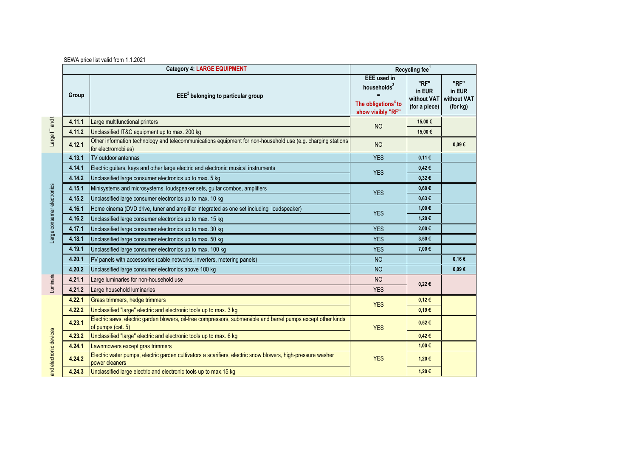|                            |        | <b>Category 4: LARGE EQUIPMENT</b>                                                                                                 |                                                                                                       | Recycling fee <sup>1</sup>                     |                                           |  |
|----------------------------|--------|------------------------------------------------------------------------------------------------------------------------------------|-------------------------------------------------------------------------------------------------------|------------------------------------------------|-------------------------------------------|--|
|                            | Group  | $EEE2$ belonging to particular group                                                                                               | <b>EEE</b> used in<br>households <sup>3</sup><br>The obligations <sup>4</sup> to<br>show visibly "RF" | "RF"<br>in EUR<br>without VAT<br>(for a piece) | "RF"<br>in EUR<br>without VAT<br>(for kg) |  |
|                            | 4.11.1 | Large multifunctional printers                                                                                                     | <b>NO</b>                                                                                             | 15,00€                                         |                                           |  |
|                            | 4.11.2 | Unclassified IT&C equipment up to max. 200 kg                                                                                      |                                                                                                       | 15,00€                                         |                                           |  |
| Large IT and               | 4.12.1 | Other information technology and telecommunications equipment for non-household use (e.g. charging stations<br>for electromobiles) | <b>NO</b>                                                                                             |                                                | $0,09 \in$                                |  |
|                            | 4.13.1 | TV outdoor antennas                                                                                                                | <b>YES</b>                                                                                            | 0,11€                                          |                                           |  |
|                            | 4.14.1 | Electric guitars, keys and other large electric and electronic musical instruments                                                 | <b>YES</b>                                                                                            | $0,42 \in$                                     |                                           |  |
|                            | 4.14.2 | Unclassified large consumer electronics up to max. 5 kg                                                                            |                                                                                                       | $0,32 \in$                                     |                                           |  |
| Large consumer electronics | 4.15.1 | Minisystems and microsystems, loudspeaker sets, guitar combos, amplifiers                                                          | <b>YES</b>                                                                                            | $0,60 \in$                                     |                                           |  |
|                            | 4.15.2 | Unclassified large consumer electronics up to max. 10 kg                                                                           |                                                                                                       | $0,63 \in$                                     |                                           |  |
|                            | 4.16.1 | Home cinema (DVD drive, tuner and amplifier integrated as one set including loudspeaker)                                           | <b>YES</b>                                                                                            | 1,00 €                                         |                                           |  |
|                            | 4.16.2 | Unclassified large consumer electronics up to max. 15 kg                                                                           |                                                                                                       | 1,20€                                          |                                           |  |
|                            | 4.17.1 | Unclassified large consumer electronics up to max. 30 kg                                                                           | <b>YES</b>                                                                                            | 2,00 €                                         |                                           |  |
|                            | 4.18.1 | Unclassified large consumer electronics up to max. 50 kg                                                                           | <b>YES</b>                                                                                            | $3,50 \in$                                     |                                           |  |
|                            | 4.19.1 | Unclassified large consumer electronics up to max. 100 kg                                                                          | <b>YES</b>                                                                                            | 7,00 €                                         |                                           |  |
|                            | 4.20.1 | PV panels with accessories (cable networks, inverters, metering panels)                                                            | <b>NO</b>                                                                                             |                                                | 0,16€                                     |  |
|                            | 4.20.2 | Unclassified large consumer electronics above 100 kg                                                                               | <b>NO</b>                                                                                             |                                                | 0,09€                                     |  |
| Luminarie                  | 4.21.1 | Large luminaries for non-household use                                                                                             | <b>NO</b>                                                                                             | 0,22€                                          |                                           |  |
|                            | 4.21.2 | Large household luminaries                                                                                                         | <b>YES</b>                                                                                            |                                                |                                           |  |
|                            | 4.22.1 | Grass trimmers, hedge trimmers                                                                                                     | <b>YES</b>                                                                                            | $0,12 \in$                                     |                                           |  |
|                            | 4.22.2 | Unclassified "large" electric and electronic tools up to max. 3 kg                                                                 |                                                                                                       | $0.19 \in$                                     |                                           |  |
|                            | 4.23.1 | Electric saws, electric garden blowers, oil-free compressors, submersible and barrel pumps except other kinds<br>of pumps (cat. 5) | <b>YES</b>                                                                                            | $0,52 \in$                                     |                                           |  |
|                            | 4.23.2 | Unclassified "large" electric and electronic tools up to max. 6 kg                                                                 |                                                                                                       | $0,42 \in$                                     |                                           |  |
|                            | 4.24.1 | Lawnmowers except gras trimmers                                                                                                    |                                                                                                       | 1,00 €                                         |                                           |  |
| and electronic devices     | 4.24.2 | Electric water pumps, electric garden cultivators a scarifiers, electric snow blowers, high-pressure washer<br>power cleaners      | <b>YES</b>                                                                                            | 1,20€                                          |                                           |  |
|                            | 4.24.3 | Unclassified large electric and electronic tools up to max.15 kg                                                                   |                                                                                                       | 1,20€                                          |                                           |  |

and electronic devices